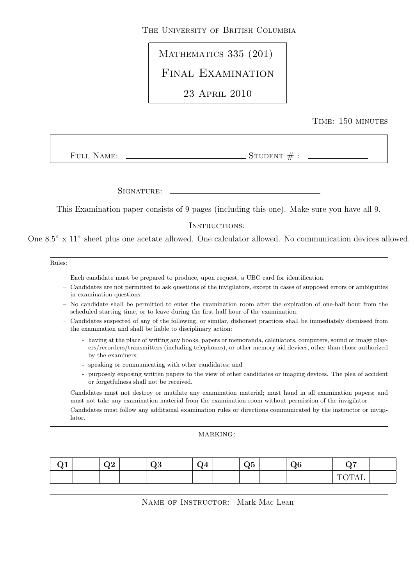THE UNIVERSITY OF BRITISH COLUMBIA

MATHEMATICS 335 (201)

Final Examination

23 April 2010

## Time: 150 minutes

FULL NAME:  $S$ TUDENT  $#$  :

Signature:

This Examination paper consists of 9 pages (including this one). Make sure you have all 9.

### INSTRUCTIONS:

One 8.5" x 11" sheet plus one acetate allowed. One calculator allowed. No communication devices allowed.

#### Rules:

- Each candidate must be prepared to produce, upon request, a UBC card for identification.
- Candidates are not permitted to ask questions of the invigilators, except in cases of supposed errors or ambiguities in examination questions.
- No candidate shall be permitted to enter the examination room after the expiration of one-half hour from the scheduled starting time, or to leave during the first half hour of the examination.
- Candidates suspected of any of the following, or similar, dishonest practices shall be immediately dismissed from the examination and shall be liable to disciplinary action:
	- having at the place of writing any books, papers or memoranda, calculators, computers, sound or image players/recorders/transmitters (including telephones), or other memory aid devices, other than those authorized by the examiners;
	- speaking or communicating with other candidates; and
	- purposely exposing written papers to the view of other candidates or imaging devices. The plea of accident or forgetfulness shall not be received.
- Candidates must not destroy or mutilate any examination material; must hand in all examination papers; and must not take any examination material from the examination room without permission of the invigilator.
- Candidates must follow any additional examination rules or directions communicated by the instructor or invigilator.

#### MARKING:

| $\mathbf{v}$ | าก<br>WZ | ∩ว<br>wu | . т<br>w. | $\sim$ $\sim$<br>wu | $\Omega$<br>wu | <u>__</u><br>_             |  |
|--------------|----------|----------|-----------|---------------------|----------------|----------------------------|--|
|              |          |          |           |                     |                | . <u>v ili</u><br><b>.</b> |  |

NAME OF INSTRUCTOR: Mark Mac Lean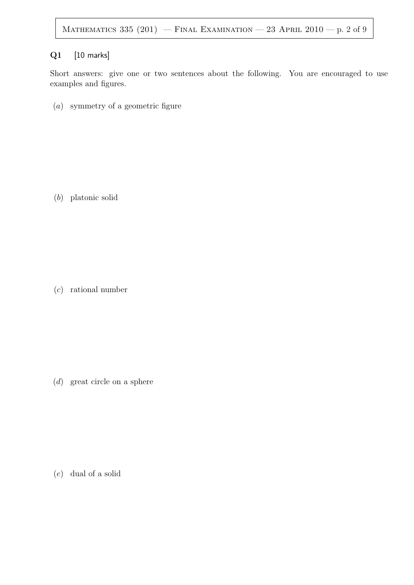## Q1 [10 marks]

Short answers: give one or two sentences about the following. You are encouraged to use examples and figures.

(a) symmetry of a geometric figure

(b) platonic solid

(c) rational number

(d) great circle on a sphere

(e) dual of a solid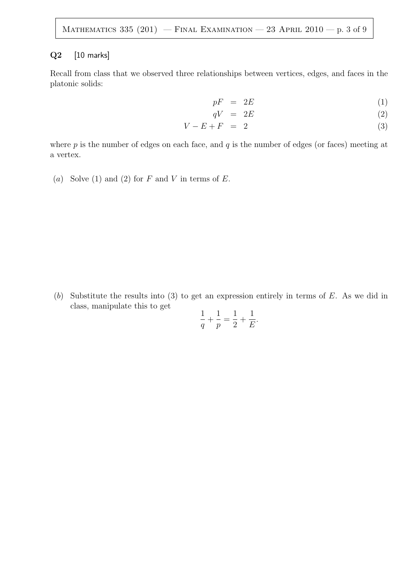### Q<sub>2</sub> [10 marks]

Recall from class that we observed three relationships between vertices, edges, and faces in the platonic solids:

$$
pF = 2E \tag{1}
$$

$$
qV = 2E \tag{2}
$$

$$
V - E + F = 2 \tag{3}
$$

where  $p$  is the number of edges on each face, and  $q$  is the number of edges (or faces) meeting at a vertex.

(a) Solve (1) and (2) for  $F$  and  $V$  in terms of  $E$ .

(b) Substitute the results into (3) to get an expression entirely in terms of  $E$ . As we did in class, manipulate this to get 1 1

$$
\frac{1}{q} + \frac{1}{p} = \frac{1}{2} + \frac{1}{E}.
$$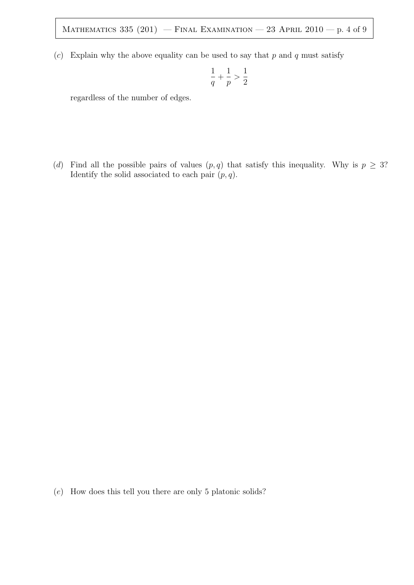(c) Explain why the above equality can be used to say that  $p$  and  $q$  must satisfy

$$
\frac{1}{q}+\frac{1}{p}>\frac{1}{2}
$$

regardless of the number of edges.

(d) Find all the possible pairs of values  $(p, q)$  that satisfy this inequality. Why is  $p \geq 3$ ? Identify the solid associated to each pair  $(p, q)$ .

(e) How does this tell you there are only 5 platonic solids?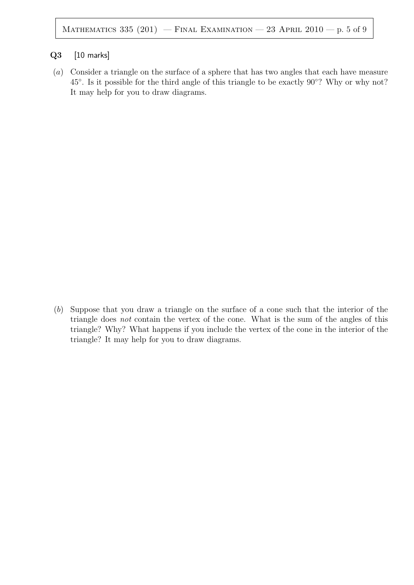#### Q3 [10 marks]

(a) Consider a triangle on the surface of a sphere that has two angles that each have measure 45°. Is it possible for the third angle of this triangle to be exactly 90°? Why or why not? It may help for you to draw diagrams.

(b) Suppose that you draw a triangle on the surface of a cone such that the interior of the triangle does not contain the vertex of the cone. What is the sum of the angles of this triangle? Why? What happens if you include the vertex of the cone in the interior of the triangle? It may help for you to draw diagrams.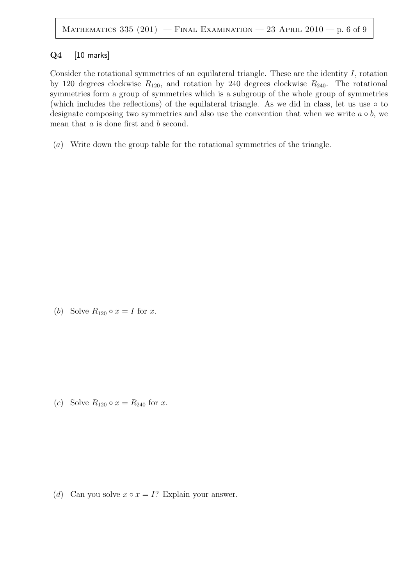### Q4 [10 marks]

Consider the rotational symmetries of an equilateral triangle. These are the identity  $I$ , rotation by 120 degrees clockwise  $R_{120}$ , and rotation by 240 degrees clockwise  $R_{240}$ . The rotational symmetries form a group of symmetries which is a subgroup of the whole group of symmetries (which includes the reflections) of the equilateral triangle. As we did in class, let us use  $\circ$  to designate composing two symmetries and also use the convention that when we write  $a \circ b$ , we mean that a is done first and b second.

(a) Write down the group table for the rotational symmetries of the triangle.

(b) Solve  $R_{120} \circ x = I$  for x.

(c) Solve  $R_{120} \circ x = R_{240}$  for x.

(d) Can you solve  $x \circ x = I$ ? Explain your answer.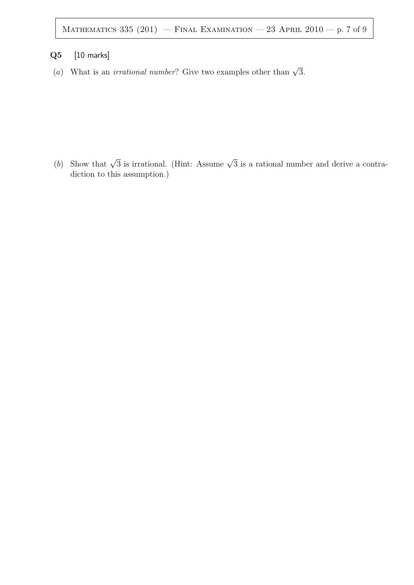# Q5 [10 marks]

(a) What is an *irrational number*? Give two examples other than  $\sqrt{3}$ .

(b) Show that  $\sqrt{3}$  is irrational. (Hint: Assume  $\sqrt{3}$  is a rational number and derive a contradiction to this assumption.)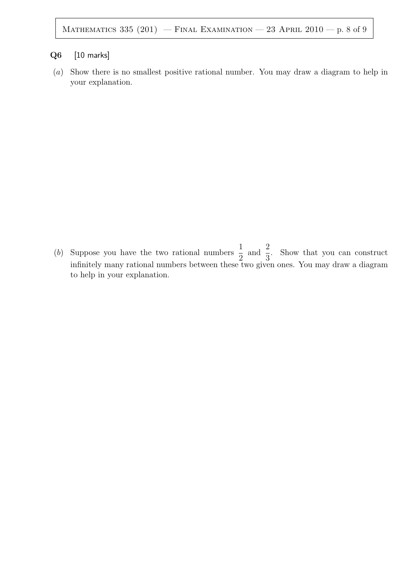## Q6 [10 marks]

(a) Show there is no smallest positive rational number. You may draw a diagram to help in your explanation.

(b) Suppose you have the two rational numbers  $\frac{1}{2}$ 2 and  $\frac{2}{5}$ 3 . Show that you can construct infinitely many rational numbers between these two given ones. You may draw a diagram to help in your explanation.